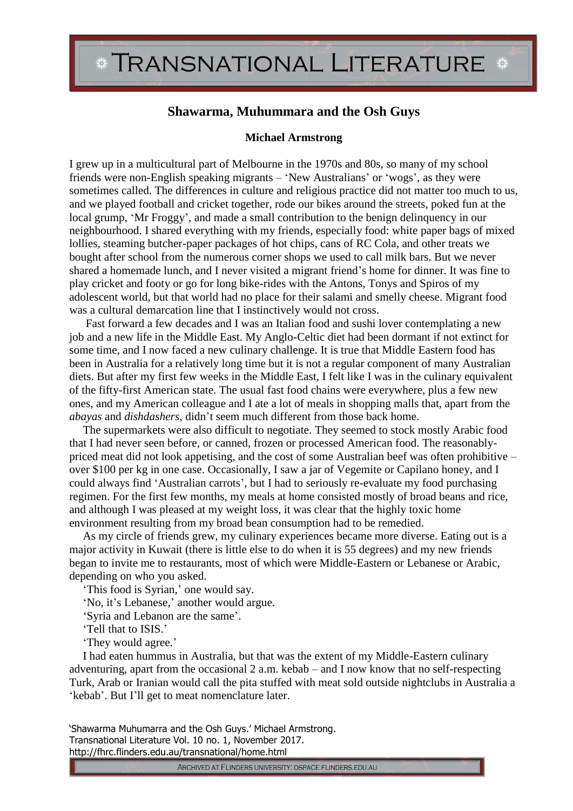## TRANSNATIONAL LITERATURE \*

## **Shawarma, Muhummara and the Osh Guys**

## **Michael Armstrong**

I grew up in a multicultural part of Melbourne in the 1970s and 80s, so many of my school friends were non-English speaking migrants – 'New Australians' or 'wogs', as they were sometimes called. The differences in culture and religious practice did not matter too much to us, and we played football and cricket together, rode our bikes around the streets, poked fun at the local grump, 'Mr Froggy', and made a small contribution to the benign delinquency in our neighbourhood. I shared everything with my friends, especially food: white paper bags of mixed lollies, steaming butcher-paper packages of hot chips, cans of RC Cola, and other treats we bought after school from the numerous corner shops we used to call milk bars. But we never shared a homemade lunch, and I never visited a migrant friend's home for dinner. It was fine to play cricket and footy or go for long bike-rides with the Antons, Tonys and Spiros of my adolescent world, but that world had no place for their salami and smelly cheese. Migrant food was a cultural demarcation line that I instinctively would not cross.

Fast forward a few decades and I was an Italian food and sushi lover contemplating a new job and a new life in the Middle East. My Anglo-Celtic diet had been dormant if not extinct for some time, and I now faced a new culinary challenge. It is true that Middle Eastern food has been in Australia for a relatively long time but it is not a regular component of many Australian diets. But after my first few weeks in the Middle East, I felt like I was in the culinary equivalent of the fifty-first American state. The usual fast food chains were everywhere, plus a few new ones, and my American colleague and I ate a lot of meals in shopping malls that, apart from the *abayas* and *dishdashers*, didn't seem much different from those back home.

The supermarkets were also difficult to negotiate. They seemed to stock mostly Arabic food that I had never seen before, or canned, frozen or processed American food. The reasonablypriced meat did not look appetising, and the cost of some Australian beef was often prohibitive – over \$100 per kg in one case. Occasionally, I saw a jar of Vegemite or Capilano honey, and I could always find 'Australian carrots', but I had to seriously re-evaluate my food purchasing regimen. For the first few months, my meals at home consisted mostly of broad beans and rice, and although I was pleased at my weight loss, it was clear that the highly toxic home environment resulting from my broad bean consumption had to be remedied.

As my circle of friends grew, my culinary experiences became more diverse. Eating out is a major activity in Kuwait (there is little else to do when it is 55 degrees) and my new friends began to invite me to restaurants, most of which were Middle-Eastern or Lebanese or Arabic, depending on who you asked.

'This food is Syrian,' one would say.

'No, it's Lebanese,' another would argue.

'Syria and Lebanon are the same'.

'Tell that to ISIS.'

'They would agree.'

I had eaten hummus in Australia, but that was the extent of my Middle-Eastern culinary adventuring, apart from the occasional 2 a.m. kebab – and I now know that no self-respecting Turk, Arab or Iranian would call the pita stuffed with meat sold outside nightclubs in Australia a 'kebab'. But I'll get to meat nomenclature later.

'Shawarma Muhumarra and the Osh Guys.' Michael Armstrong. Transnational Literature Vol. 10 no. 1, November 2017. http://fhrc.flinders.edu.au/transnational/home.html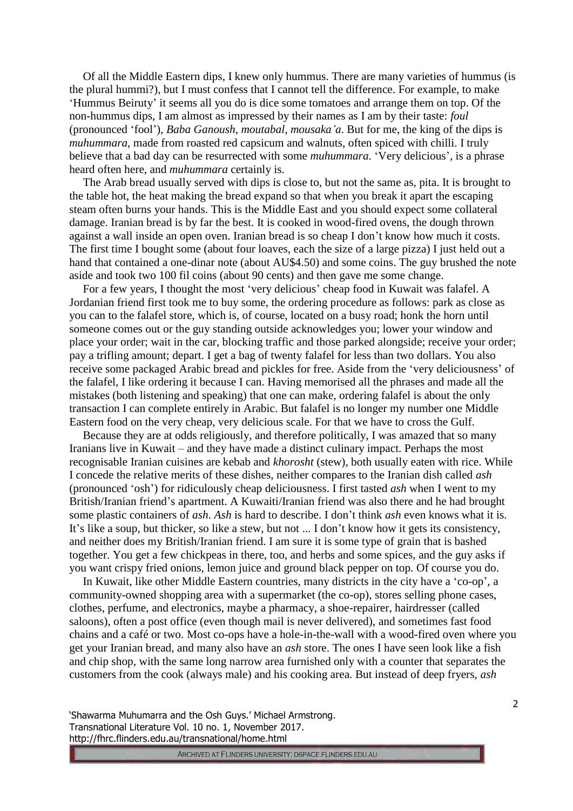Of all the Middle Eastern dips, I knew only hummus. There are many varieties of hummus (is the plural hummi?), but I must confess that I cannot tell the difference. For example, to make 'Hummus Beiruty' it seems all you do is dice some tomatoes and arrange them on top. Of the non-hummus dips, I am almost as impressed by their names as I am by their taste: *foul* (pronounced 'fool'), *Baba Ganoush, moutabal, mousaka'a*. But for me, the king of the dips is *muhummara*, made from roasted red capsicum and walnuts, often spiced with chilli. I truly believe that a bad day can be resurrected with some *muhummara*. 'Very delicious', is a phrase heard often here, and *muhummara* certainly is.

The Arab bread usually served with dips is close to, but not the same as, pita. It is brought to the table hot, the heat making the bread expand so that when you break it apart the escaping steam often burns your hands. This is the Middle East and you should expect some collateral damage. Iranian bread is by far the best. It is cooked in wood-fired ovens, the dough thrown against a wall inside an open oven. Iranian bread is so cheap I don't know how much it costs. The first time I bought some (about four loaves, each the size of a large pizza) I just held out a hand that contained a one-dinar note (about AU\$4.50) and some coins. The guy brushed the note aside and took two 100 fil coins (about 90 cents) and then gave me some change.

For a few years, I thought the most 'very delicious' cheap food in Kuwait was falafel. A Jordanian friend first took me to buy some, the ordering procedure as follows: park as close as you can to the falafel store, which is, of course, located on a busy road; honk the horn until someone comes out or the guy standing outside acknowledges you; lower your window and place your order; wait in the car, blocking traffic and those parked alongside; receive your order; pay a trifling amount; depart. I get a bag of twenty falafel for less than two dollars. You also receive some packaged Arabic bread and pickles for free. Aside from the 'very deliciousness' of the falafel, I like ordering it because I can. Having memorised all the phrases and made all the mistakes (both listening and speaking) that one can make, ordering falafel is about the only transaction I can complete entirely in Arabic. But falafel is no longer my number one Middle Eastern food on the very cheap, very delicious scale. For that we have to cross the Gulf.

Because they are at odds religiously, and therefore politically, I was amazed that so many Iranians live in Kuwait – and they have made a distinct culinary impact. Perhaps the most recognisable Iranian cuisines are kebab and *khorosht* (stew), both usually eaten with rice. While I concede the relative merits of these dishes, neither compares to the Iranian dish called *ash* (pronounced 'osh') for ridiculously cheap deliciousness. I first tasted *ash* when I went to my British/Iranian friend's apartment. A Kuwaiti/Iranian friend was also there and he had brought some plastic containers of *ash*. *Ash* is hard to describe. I don't think *ash* even knows what it is. It's like a soup, but thicker, so like a stew, but not ... I don't know how it gets its consistency, and neither does my British/Iranian friend. I am sure it is some type of grain that is bashed together. You get a few chickpeas in there, too, and herbs and some spices, and the guy asks if you want crispy fried onions, lemon juice and ground black pepper on top. Of course you do.

In Kuwait, like other Middle Eastern countries, many districts in the city have a 'co-op', a community-owned shopping area with a supermarket (the co-op), stores selling phone cases, clothes, perfume, and electronics, maybe a pharmacy, a shoe-repairer, hairdresser (called saloons), often a post office (even though mail is never delivered), and sometimes fast food chains and a café or two. Most co-ops have a hole-in-the-wall with a wood-fired oven where you get your Iranian bread, and many also have an *ash* store. The ones I have seen look like a fish and chip shop, with the same long narrow area furnished only with a counter that separates the customers from the cook (always male) and his cooking area. But instead of deep fryers, *ash*

'Shawarma Muhumarra and the Osh Guys.' Michael Armstrong. Transnational Literature Vol. 10 no. 1, November 2017. http://fhrc.flinders.edu.au/transnational/home.html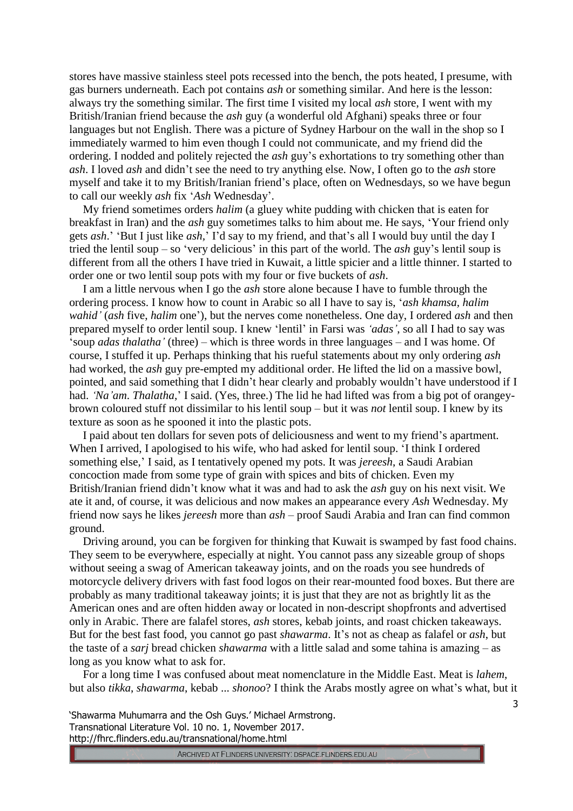stores have massive stainless steel pots recessed into the bench, the pots heated, I presume, with gas burners underneath. Each pot contains *ash* or something similar. And here is the lesson: always try the something similar. The first time I visited my local *ash* store, I went with my British/Iranian friend because the *ash* guy (a wonderful old Afghani) speaks three or four languages but not English. There was a picture of Sydney Harbour on the wall in the shop so I immediately warmed to him even though I could not communicate, and my friend did the ordering. I nodded and politely rejected the *ash* guy's exhortations to try something other than *ash*. I loved *ash* and didn't see the need to try anything else. Now, I often go to the *ash* store myself and take it to my British/Iranian friend's place, often on Wednesdays, so we have begun to call our weekly *ash* fix '*Ash* Wednesday'.

My friend sometimes orders *halim* (a gluey white pudding with chicken that is eaten for breakfast in Iran) and the *ash* guy sometimes talks to him about me. He says, 'Your friend only gets *ash*.' 'But I just like *ash,*' I'd say to my friend, and that's all I would buy until the day I tried the lentil soup – so 'very delicious' in this part of the world. The *ash* guy's lentil soup is different from all the others I have tried in Kuwait, a little spicier and a little thinner. I started to order one or two lentil soup pots with my four or five buckets of *ash*.

I am a little nervous when I go the *ash* store alone because I have to fumble through the ordering process. I know how to count in Arabic so all I have to say is, '*ash khamsa, halim wahid'* (*ash* five, *halim* one'), but the nerves come nonetheless. One day, I ordered *ash* and then prepared myself to order lentil soup. I knew 'lentil' in Farsi was *'adas'*, so all I had to say was 'soup *adas thalatha'* (three) – which is three words in three languages – and I was home. Of course, I stuffed it up. Perhaps thinking that his rueful statements about my only ordering *ash* had worked, the *ash* guy pre-empted my additional order. He lifted the lid on a massive bowl, pointed, and said something that I didn't hear clearly and probably wouldn't have understood if I had. *'Na'am*. *Thalatha*,' I said. (Yes, three.) The lid he had lifted was from a big pot of orangeybrown coloured stuff not dissimilar to his lentil soup – but it was *not* lentil soup. I knew by its texture as soon as he spooned it into the plastic pots.

I paid about ten dollars for seven pots of deliciousness and went to my friend's apartment. When I arrived, I apologised to his wife, who had asked for lentil soup. 'I think I ordered something else,' I said, as I tentatively opened my pots. It was *jereesh*, a Saudi Arabian concoction made from some type of grain with spices and bits of chicken. Even my British/Iranian friend didn't know what it was and had to ask the *ash* guy on his next visit. We ate it and, of course, it was delicious and now makes an appearance every *Ash* Wednesday. My friend now says he likes *jereesh* more than *ash* – proof Saudi Arabia and Iran can find common ground.

Driving around, you can be forgiven for thinking that Kuwait is swamped by fast food chains. They seem to be everywhere, especially at night. You cannot pass any sizeable group of shops without seeing a swag of American takeaway joints, and on the roads you see hundreds of motorcycle delivery drivers with fast food logos on their rear-mounted food boxes. But there are probably as many traditional takeaway joints; it is just that they are not as brightly lit as the American ones and are often hidden away or located in non-descript shopfronts and advertised only in Arabic. There are falafel stores, *ash* stores, kebab joints, and roast chicken takeaways. But for the best fast food, you cannot go past *shawarma*. It's not as cheap as falafel or *ash*, but the taste of a *sarj* bread chicken *shawarma* with a little salad and some tahina is amazing – as long as you know what to ask for.

For a long time I was confused about meat nomenclature in the Middle East. Meat is *lahem*, but also *tikka*, *shawarma*, kebab ... *shonoo*? I think the Arabs mostly agree on what's what, but it

'Shawarma Muhumarra and the Osh Guys.' Michael Armstrong. Transnational Literature Vol. 10 no. 1, November 2017. http://fhrc.flinders.edu.au/transnational/home.html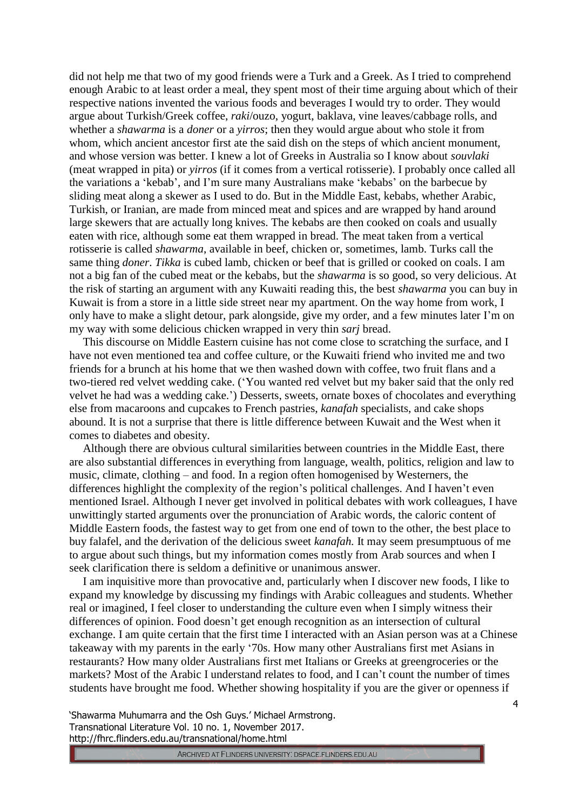did not help me that two of my good friends were a Turk and a Greek. As I tried to comprehend enough Arabic to at least order a meal, they spent most of their time arguing about which of their respective nations invented the various foods and beverages I would try to order. They would argue about Turkish/Greek coffee, *raki*/ouzo, yogurt, baklava, vine leaves/cabbage rolls, and whether a *shawarma* is a *doner* or a *yirros*; then they would argue about who stole it from whom, which ancient ancestor first ate the said dish on the steps of which ancient monument, and whose version was better. I knew a lot of Greeks in Australia so I know about *souvlaki* (meat wrapped in pita) or *yirros* (if it comes from a vertical rotisserie). I probably once called all the variations a 'kebab', and I'm sure many Australians make 'kebabs' on the barbecue by sliding meat along a skewer as I used to do. But in the Middle East, kebabs, whether Arabic, Turkish, or Iranian, are made from minced meat and spices and are wrapped by hand around large skewers that are actually long knives. The kebabs are then cooked on coals and usually eaten with rice, although some eat them wrapped in bread. The meat taken from a vertical rotisserie is called *shawarma*, available in beef, chicken or, sometimes, lamb. Turks call the same thing *doner*. *Tikka* is cubed lamb, chicken or beef that is grilled or cooked on coals. I am not a big fan of the cubed meat or the kebabs, but the *shawarma* is so good, so very delicious. At the risk of starting an argument with any Kuwaiti reading this, the best *shawarma* you can buy in Kuwait is from a store in a little side street near my apartment. On the way home from work, I only have to make a slight detour, park alongside, give my order, and a few minutes later I'm on my way with some delicious chicken wrapped in very thin *sarj* bread.

This discourse on Middle Eastern cuisine has not come close to scratching the surface, and I have not even mentioned tea and coffee culture, or the Kuwaiti friend who invited me and two friends for a brunch at his home that we then washed down with coffee, two fruit flans and a two-tiered red velvet wedding cake. ('You wanted red velvet but my baker said that the only red velvet he had was a wedding cake.') Desserts, sweets, ornate boxes of chocolates and everything else from macaroons and cupcakes to French pastries, *kanafah* specialists, and cake shops abound. It is not a surprise that there is little difference between Kuwait and the West when it comes to diabetes and obesity.

Although there are obvious cultural similarities between countries in the Middle East, there are also substantial differences in everything from language, wealth, politics, religion and law to music, climate, clothing – and food. In a region often homogenised by Westerners, the differences highlight the complexity of the region's political challenges. And I haven't even mentioned Israel. Although I never get involved in political debates with work colleagues, I have unwittingly started arguments over the pronunciation of Arabic words, the caloric content of Middle Eastern foods, the fastest way to get from one end of town to the other, the best place to buy falafel, and the derivation of the delicious sweet *kanafah.* It may seem presumptuous of me to argue about such things, but my information comes mostly from Arab sources and when I seek clarification there is seldom a definitive or unanimous answer.

I am inquisitive more than provocative and, particularly when I discover new foods, I like to expand my knowledge by discussing my findings with Arabic colleagues and students. Whether real or imagined, I feel closer to understanding the culture even when I simply witness their differences of opinion. Food doesn't get enough recognition as an intersection of cultural exchange. I am quite certain that the first time I interacted with an Asian person was at a Chinese takeaway with my parents in the early '70s. How many other Australians first met Asians in restaurants? How many older Australians first met Italians or Greeks at greengroceries or the markets? Most of the Arabic I understand relates to food, and I can't count the number of times students have brought me food. Whether showing hospitality if you are the giver or openness if

'Shawarma Muhumarra and the Osh Guys.' Michael Armstrong. Transnational Literature Vol. 10 no. 1, November 2017. http://fhrc.flinders.edu.au/transnational/home.html